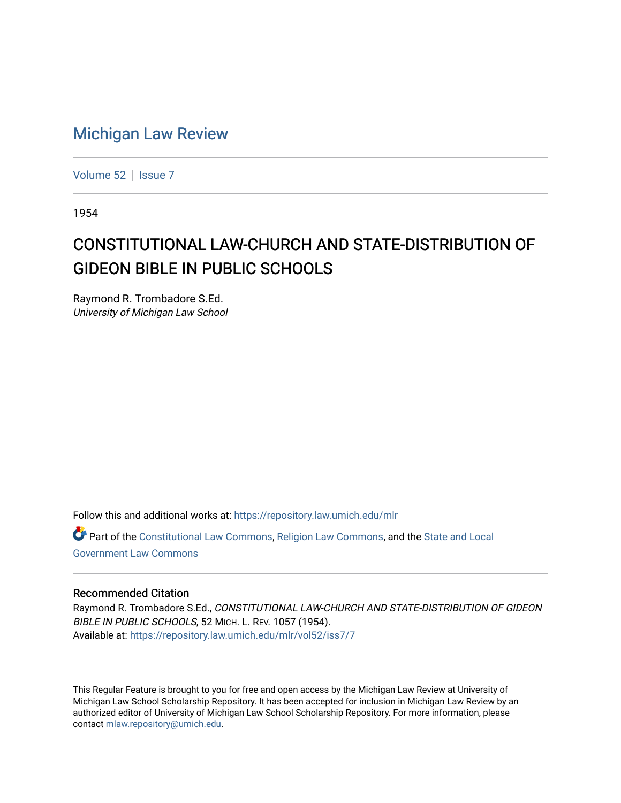## [Michigan Law Review](https://repository.law.umich.edu/mlr)

[Volume 52](https://repository.law.umich.edu/mlr/vol52) | [Issue 7](https://repository.law.umich.edu/mlr/vol52/iss7)

1954

## CONSTITUTIONAL LAW-CHURCH AND STATE-DISTRIBUTION OF GIDEON BIBLE IN PUBLIC SCHOOLS

Raymond R. Trombadore S.Ed. University of Michigan Law School

Follow this and additional works at: [https://repository.law.umich.edu/mlr](https://repository.law.umich.edu/mlr?utm_source=repository.law.umich.edu%2Fmlr%2Fvol52%2Fiss7%2F7&utm_medium=PDF&utm_campaign=PDFCoverPages) 

Part of the [Constitutional Law Commons,](http://network.bepress.com/hgg/discipline/589?utm_source=repository.law.umich.edu%2Fmlr%2Fvol52%2Fiss7%2F7&utm_medium=PDF&utm_campaign=PDFCoverPages) [Religion Law Commons](http://network.bepress.com/hgg/discipline/872?utm_source=repository.law.umich.edu%2Fmlr%2Fvol52%2Fiss7%2F7&utm_medium=PDF&utm_campaign=PDFCoverPages), and the [State and Local](http://network.bepress.com/hgg/discipline/879?utm_source=repository.law.umich.edu%2Fmlr%2Fvol52%2Fiss7%2F7&utm_medium=PDF&utm_campaign=PDFCoverPages) [Government Law Commons](http://network.bepress.com/hgg/discipline/879?utm_source=repository.law.umich.edu%2Fmlr%2Fvol52%2Fiss7%2F7&utm_medium=PDF&utm_campaign=PDFCoverPages) 

## Recommended Citation

Raymond R. Trombadore S.Ed., CONSTITUTIONAL LAW-CHURCH AND STATE-DISTRIBUTION OF GIDEON BIBLE IN PUBLIC SCHOOLS, 52 MICH. L. REV. 1057 (1954). Available at: [https://repository.law.umich.edu/mlr/vol52/iss7/7](https://repository.law.umich.edu/mlr/vol52/iss7/7?utm_source=repository.law.umich.edu%2Fmlr%2Fvol52%2Fiss7%2F7&utm_medium=PDF&utm_campaign=PDFCoverPages)

This Regular Feature is brought to you for free and open access by the Michigan Law Review at University of Michigan Law School Scholarship Repository. It has been accepted for inclusion in Michigan Law Review by an authorized editor of University of Michigan Law School Scholarship Repository. For more information, please contact [mlaw.repository@umich.edu](mailto:mlaw.repository@umich.edu).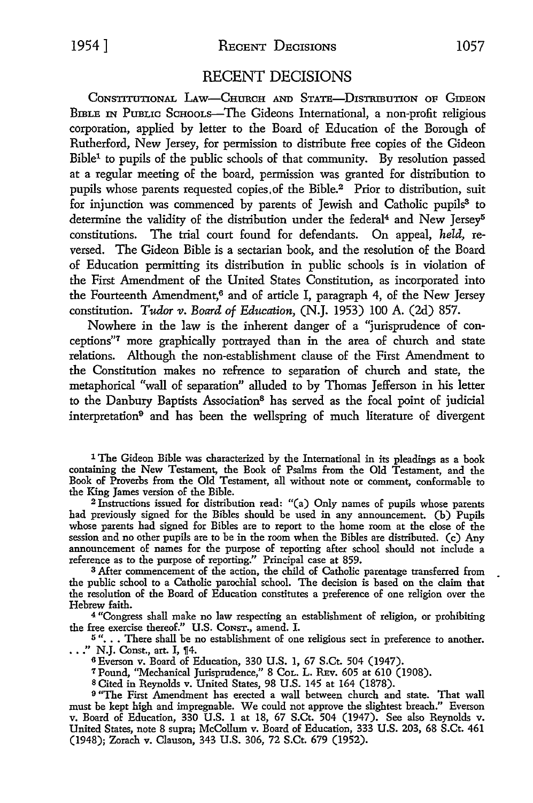1954] RECENT DECISIONS 1057

## RECENT DECISIONS

CoNSTITUTIONAL LAw-CHURCH AND STATE-DISTRIBUTION OF GIDEON BmLE IN PuBLIC SCHOOLS-The Gideons International, a non-profit religious corporation, applied by letter to the Board of Education of the Borough of Rutherford, New Jersey, for permission to distribute free copies of the Gideon Bible1 to pupils of the public schools of that community. By resolution passed at a regular meeting of the board, permission was granted for distribution to pupils whose parents requested copies, of the Bible.<sup>2</sup> Prior to distribution, suit for injunction was commenced by parents of Jewish and Catholic pupils<sup>3</sup> to determine the validity of the distribution under the federal<sup>4</sup> and New Jersey<sup>5</sup> constitutions. The trial court found for defendants. On appeal, *held,* reversed. The Gideon Bible is a sectarian book, and the resolution of the Board of Education permitting its distribution in public schools is in violation of the First Amendment of the United States Constitution, as incorporated into the Fourteenth Amendment,<sup>6</sup> and of article I, paragraph 4, of the New Jersey constitution. *Tudor v. Board of Education,* (N.J. 1953) 100 A. (2d) 857.

Nowhere in the law is the inherent danger of a "jurisprudence of conceptions"7 more graphically portrayed than in the area of church and state relations. Although the non-establishment clause of the First Amendment to the Constitution makes no refrence to separation of church and state, the metaphorical "wall of separation" alluded to by Thomas Jefferson in his letter to the Danbury Baptists Association8 has served as the focal point of judicial interpretation<sup>9</sup> and has been the wellspring of much literature of divergent

1 The Gideon Bible was characterized by the International in its pleadings as a book containing the New Testament, the Book of Psalms from the Old Testament, and the Book of Proverbs from the Old Testament, all without note or comment, conformable to the King James version of the Bible.

<sup>2</sup>Instructions issued for distribution read: "(a) Only names of pupils whose parents had previously signed for the Bibles should be used in any announcement. (b) Pupils whose parents had signed for Bibles are to report to the home room at the close of the session and no other pupils are to be in the room when the Bibles are distributed. (c) Any announcement of names for the purpose of reporting after school should not include a reference as to the purpose of reporting." Principal case at 859.

3 After commencement of the action, the child of Catholic parentage transferred from the public school to a Catholic parochial school. The decision is based on the claim that the resolution of the Board of Education constitutes a preference of one religion over the Hebrew faith.

4 "Congress shall make no law respecting an establishment of religion, or prohibiting the free exercise thereof." U.S. CONST., amend. I.

<sup>5</sup> "... There shall be no establishment of one religious sect in preference to another.  $\ldots$ ." N.J. Const., art. I, ¶4.

<sup>6</sup>Everson v. Board of Education, 330 U.S. 1, 67 S.Ct. 504 (1947).

<sup>7</sup>Pound, "Mechanical Jurisprudence," 8 CoL. L. REv. 605 at 610 (1908).

BCited in Reynolds v. United States, 98 U.S. 145 at 164 (1878).

<sup>9</sup>"The First Amendment has erected a wall between church and state. That wall must be kept high and impregnable. We could not approve the slightest breach.'' Everson v. Board of Education, 330 U.S. 1 at 18, 67 S.Ct. 504 (1947). See also Reynolds v. United States, note 8 supra; McCollum v. Board of Education, 333 U.S. 203, 68 S.Ct. 461 (1948); Zorach v. Clauson, 343 U.S. 306, 72 S.Ct. 679 (1952).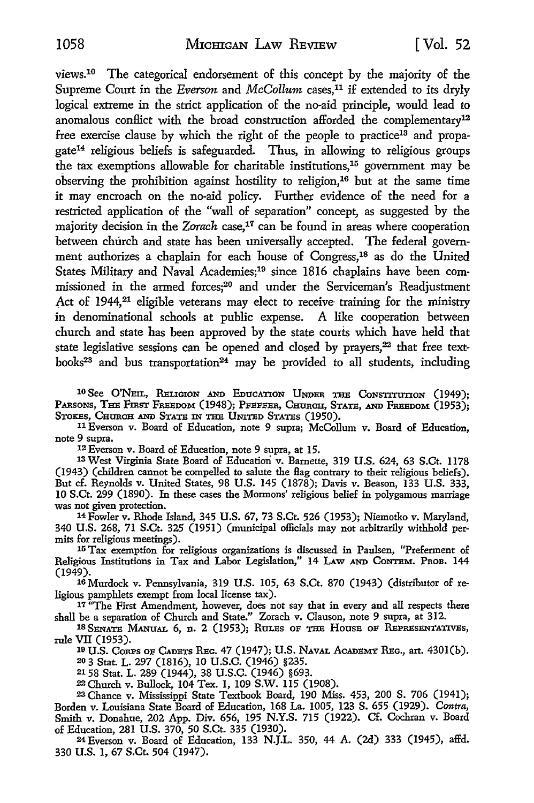views.10 The categorical endorsement of this concept by the majority of the Supreme Court in the *Everson* and *McCollum* cases.<sup>11</sup> if extended to its dryly logical extreme in the strict application of the no-aid principle, would lead to anomalous conflict with the broad construction afforded the complementary<sup>12</sup> free exercise clause by which the right of the people to practice<sup>13</sup> and propagate14 religious beliefs is safeguarded. Thus, in allowing to religious groups the tax exemptions allowable for charitable institutions,15 government may be observing the prohibition against hostility to religion, 16 but at the same time it may encroach on the no-aid policy. Further evidence of the need for a restricted application of the "wall of separation" concept, as suggested by the majority decision in the *Zorach* case,<sup>17</sup> can be found in areas where cooperation between church and state has been universally accepted. The federal government authorizes a chaplain for each house of Congress, 18 as do the United States Military and Naval Academies;<sup>19</sup> since 1816 chaplains have been commissioned in the armed forces;20 and under the Serviceman's Readjustment Act of 1944,<sup>21</sup> eligible veterans may elect to receive training for the ministry in denominational schools at public expense. A like cooperation between church and state has been approved by the state courts which have held that state legislative sessions can be opened and closed by prayers,<sup>22</sup> that free textbooks<sup>23</sup> and bus transportation<sup>24</sup> may be provided to all students, including

10 See O'NEIL, RELIGION AND EDUCATION UNDER THE CoNSTITUTION (1949); PARSONS, THE FIRST FREEDOM (1948); PFEFFER, CHURCH, STATE, AND FREEDOM (1953); STOKES, CHURCH AND STATE IN THE UNITED STATES (1950).

11 Everson v. Board of Education, note 9 supra; McCollum v. Board of Education, note 9 supra.

12 Everson v. Board of Education, note 9 supra, at 15.

13 West Virginia State Board of Education v. Barnette, 319 U.S. 624, 63 S.Ct. 1178 (1943) (children cannot be compelled to salute the Hag contrary to their religious beliefs). But cf. Reynolds v. United States, 98 U.S. 145 (1878); Davis v. Beason, 133 U.S. 333, IO S.Ct. 299 (1890). In these cases the Mormons' religious belief in polygamous marriage was not given protection.

14 Fowler v. Rhode Island, 345 U.S. 67, 73 S.Ct. 526 (1953); Niemotko v. Maryland, 340 **U.S.** 268, 71 S.Ct. 325 (1951) (municipal officials may not arbitrarily withhold permits for religious meetings).

<sup>15</sup> Tax exemption for religious organizations is discussed in Paulsen, "Preferment of Religious Institutions in Tax and Labor Legislation," 14 LAw AND CoNTEM. PROB. 144 (1949).

16 Murdock v. Pennsylvania, 319 U.S. 105, 63 S.Ct. 870 (1943) (distributor of religious pamphlets exempt from local license tax).

<sup>17</sup> "The First Amendment, however, does not say that in every and all respects there shall be a separation of Church and State." Zorach v. Clauson, note 9 supra, at 312.

18 SENATE MANUAL 6, n. 2 (1953); RULES OF THE HOUSE OF REPRESENTATIVES, rule VII (1953).

10 U.S. CoRPs OF CADETS REc. 47 (1947); U.S. NAVAL ACADEMY REc., art. 430l(b). 20 3 Stat. L. 297 (1816), IO U.S.C. (1946) §235.

2158 Stat. L. 289 (1944), 38 U.S.C. (1946) §693.

22 Church v. Bullock, 104 Tex. 1, 109 S.W. 115 (1908).

23 Chance v. Mississippi State Textbook Board, 190 Miss. 453, 200 S. 706 (1941); Borden v. Louisiana State Board of Education, 168 La. 1005, 123 S. 655 (1929). *Contra,*  Smith v. Donahue, 202 App. Div. 656, 195 N.Y.S. 715 (1922). Cf. Cochran v. Board of Education, 281 U.S. 370, 50 S.Ct. 335 (1930).

24 Everson v. Board of Education, 133 N.J.L. 350, 44 A. (2d) 333 (1945), affd. 330 U.S. 1, 67 S.Ct. 504 (1947).